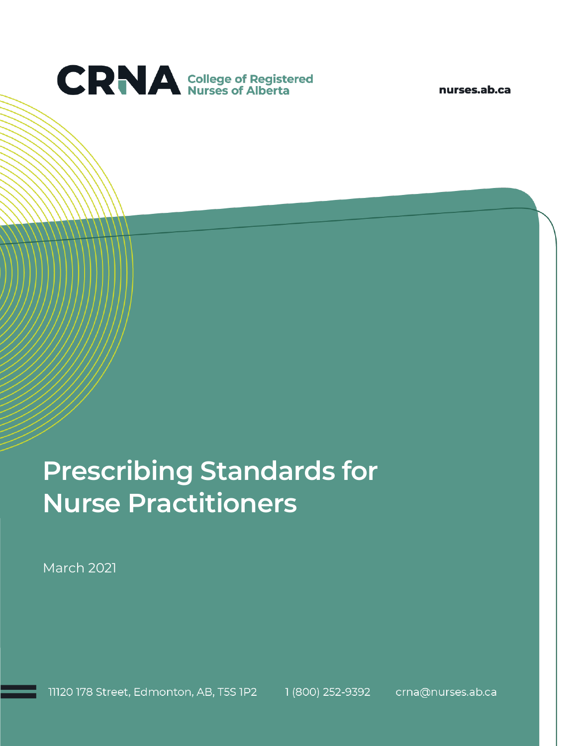

nurses.ab.ca

# **Prescribing Standards for Nurse Practitioners**

March 2021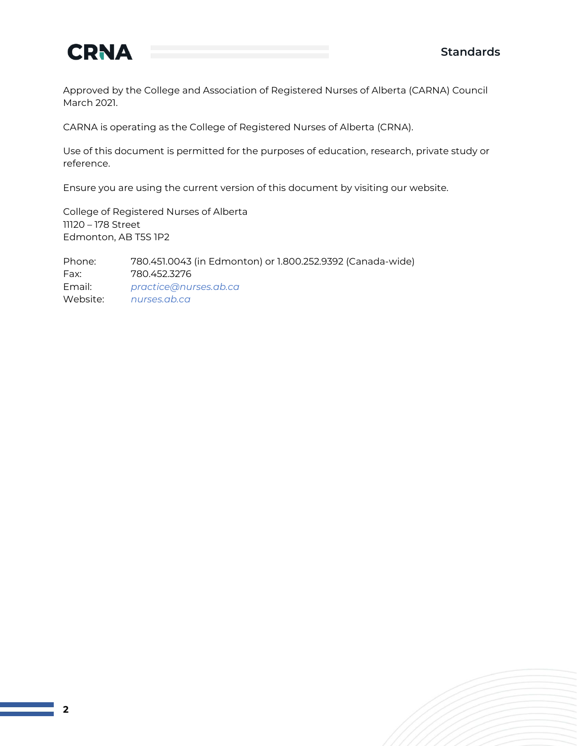

Approved by the College and Association of Registered Nurses of Alberta (CARNA) Council March 2021.

CARNA is operating as the College of Registered Nurses of Alberta (CRNA).

Use of this document is permitted for the purposes of education, research, private study or reference.

Ensure you are using the current version of this document by visiting our website.

College of Registered Nurses of Alberta 11120 – 178 Street Edmonton, AB T5S 1P2

Phone: 780.451.0043 (in Edmonton) or 1.800.252.9392 (Canada-wide) Fax: 780.452.3276 Email: *[practice@nurses.ab.ca](mailto:practice@nurses.ab.ca)* Website: *[nurses.ab.ca](http://www.nurses.ab.ca/)*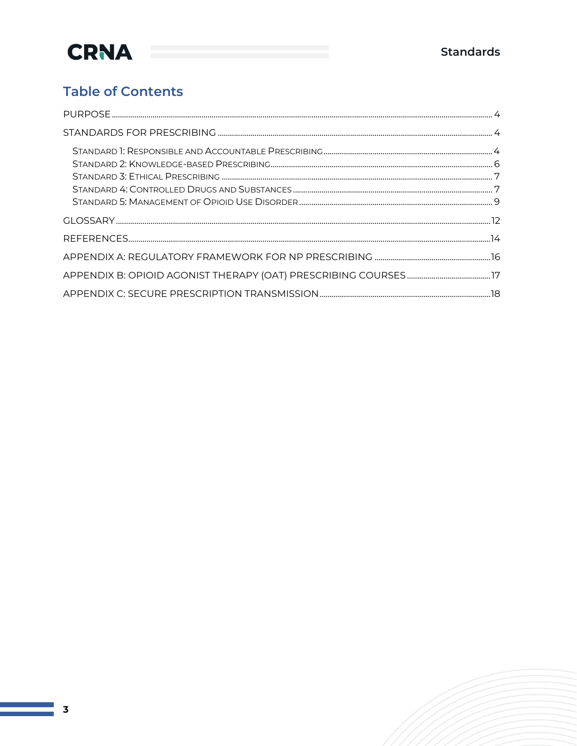### **Table of Contents**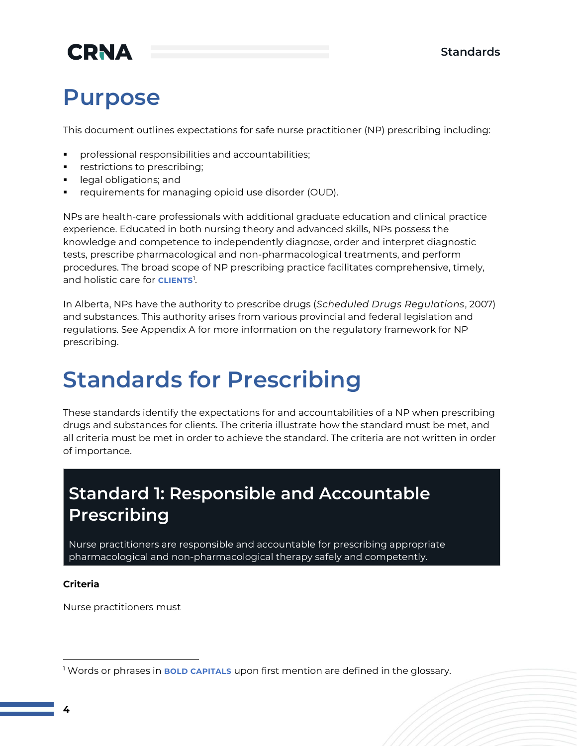## **Purpose**

This document outlines expectations for safe nurse practitioner (NP) prescribing including:

- professional responsibilities and accountabilities;
- restrictions to prescribing;
- legal obligations; and
- requirements for managing opioid use disorder (OUD).

NPs are health-care professionals with additional graduate education and clinical practice experience. Educated in both nursing theory and advanced skills, NPs possess the knowledge and competence to independently diagnose, order and interpret diagnostic tests, prescribe pharmacological and non-pharmacological treatments, and perform procedures. The broad scope of NP prescribing practice facilitates comprehensive, timely, and holistic care for **CLIENTS**<sup>1</sup> .

In Alberta, NPs have the authority to prescribe drugs (*Scheduled Drugs Regulations*, 2007) and substances. This authority arises from various provincial and federal legislation and regulations. See Appendix A for more information on the regulatory framework for NP prescribing.

### **Standards for Prescribing**

These standards identify the expectations for and accountabilities of a NP when prescribing drugs and substances for clients. The criteria illustrate how the standard must be met, and all criteria must be met in order to achieve the standard. The criteria are not written in order of importance.

### **Standard 1: Responsible and Accountable Prescribing**

Nurse practitioners are responsible and accountable for prescribing appropriate pharmacological and non-pharmacological therapy safely and competently.

#### **Criteria**

Nurse practitioners must

<sup>1</sup> Words or phrases in **BOLD CAPITALS** upon first mention are defined in the glossary.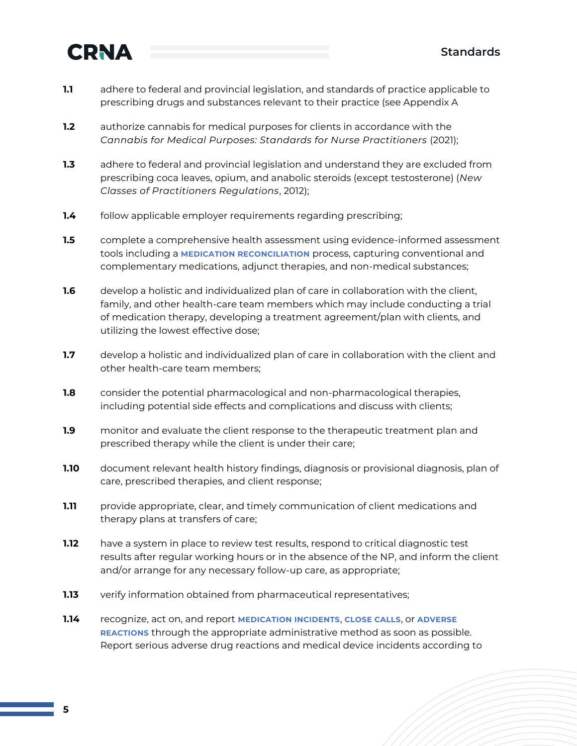- **1.1** adhere to federal and provincial legislation, and standards of practice applicable to prescribing drugs and substances relevant to their practice (see Appendix A
- **1.2** authorize cannabis for medical purposes for clients in accordance with the *Cannabis for Medical Purposes: Standards for Nurse Practitioners* (2021);
- **1.3** adhere to federal and provincial legislation and understand they are excluded from prescribing coca leaves, opium, and anabolic steroids (except testosterone) (*New Classes of Practitioners Regulations*, 2012);
- **1.4** follow applicable employer requirements regarding prescribing;
- **1.5** complete a comprehensive health assessment using evidence-informed assessment tools including a **MEDICATION RECONCILIATION** process, capturing conventional and complementary medications, adjunct therapies, and non-medical substances;
- **1.6** develop a holistic and individualized plan of care in collaboration with the client, family, and other health-care team members which may include conducting a trial of medication therapy, developing a treatment agreement/plan with clients, and utilizing the lowest effective dose;
- **1.7** develop a holistic and individualized plan of care in collaboration with the client and other health-care team members;
- **1.8** consider the potential pharmacological and non-pharmacological therapies, including potential side effects and complications and discuss with clients;
- **1.9** monitor and evaluate the client response to the therapeutic treatment plan and prescribed therapy while the client is under their care;
- **1.10** document relevant health history findings, diagnosis or provisional diagnosis, plan of care, prescribed therapies, and client response;
- **1.11** provide appropriate, clear, and timely communication of client medications and therapy plans at transfers of care;
- **1.12** have a system in place to review test results, respond to critical diagnostic test results after regular working hours or in the absence of the NP, and inform the client and/or arrange for any necessary follow-up care, as appropriate;
- **1.13** verify information obtained from pharmaceutical representatives;
- **1.14** recognize, act on, and report **MEDICATION INCIDENTS**, **CLOSE CALLS**, or **ADVERSE REACTIONS** through the appropriate administrative method as soon as possible. Report serious adverse drug reactions and medical device incidents according to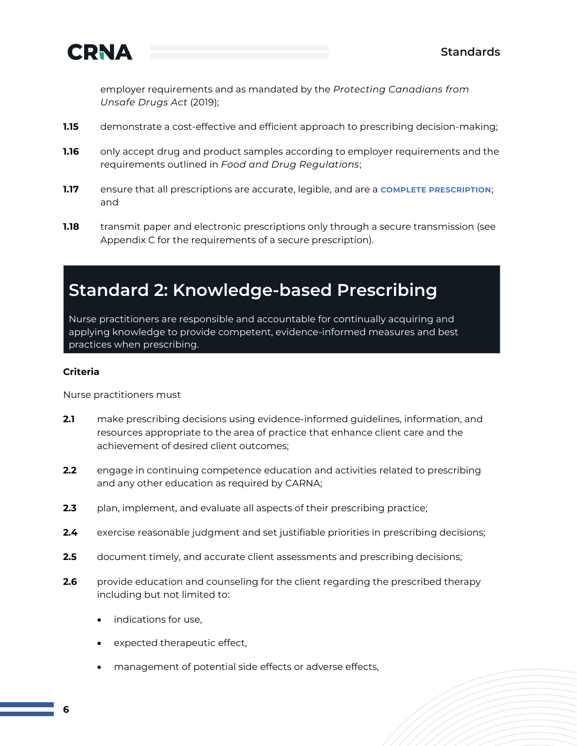

employer requirements and as mandated by the *Protecting Canadians from Unsafe Drugs Act* (2019);

- **1.15** demonstrate a cost-effective and efficient approach to prescribing decision-making;
- **1.16** only accept drug and product samples according to employer requirements and the requirements outlined in *Food and Drug Regulations*;
- **1.17** ensure that all prescriptions are accurate, legible, and are a **COMPLETE PRESCRIPTION**; and
- **1.18** transmit paper and electronic prescriptions only through a secure transmission (see Appendix C for the requirements of a secure prescription).

### **Standard 2: Knowledge-based Prescribing**

Nurse practitioners are responsible and accountable for continually acquiring and applying knowledge to provide competent, evidence-informed measures and best practices when prescribing.

#### **Criteria**

Nurse practitioners must

- **2.1** make prescribing decisions using evidence-informed guidelines, information, and resources appropriate to the area of practice that enhance client care and the achievement of desired client outcomes;
- **2.2** engage in continuing competence education and activities related to prescribing and any other education as required by CARNA;
- **2.3** plan, implement, and evaluate all aspects of their prescribing practice;
- **2.4** exercise reasonable judgment and set justifiable priorities in prescribing decisions;
- **2.5** document timely, and accurate client assessments and prescribing decisions;
- **2.6** provide education and counseling for the client regarding the prescribed therapy including but not limited to:
	- indications for use,
	- expected therapeutic effect,
	- management of potential side effects or adverse effects,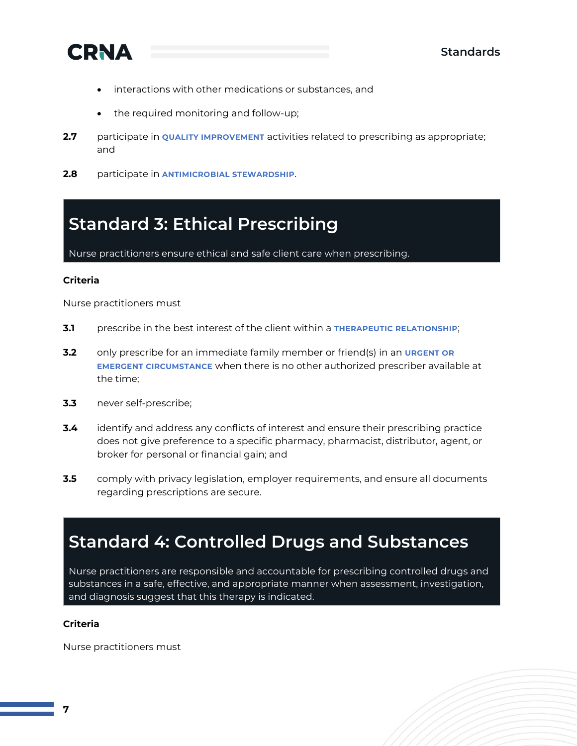

- interactions with other medications or substances, and
- the required monitoring and follow-up;
- **2.7** participate in **QUALITY IMPROVEMENT** activities related to prescribing as appropriate; and
- **2.8** participate in **ANTIMICROBIAL STEWARDSHIP**.

### **Standard 3: Ethical Prescribing**

Nurse practitioners ensure ethical and safe client care when prescribing.

#### **Criteria**

Nurse practitioners must

- **3.1** prescribe in the best interest of the client within a **THERAPEUTIC RELATIONSHIP**;
- **3.2** only prescribe for an immediate family member or friend(s) in an **URGENT OR EMERGENT CIRCUMSTANCE** when there is no other authorized prescriber available at the time;
- **3.3** never self-prescribe;
- **3.4** identify and address any conflicts of interest and ensure their prescribing practice does not give preference to a specific pharmacy, pharmacist, distributor, agent, or broker for personal or financial gain; and
- **3.5** comply with privacy legislation, employer requirements, and ensure all documents regarding prescriptions are secure.

### **Standard 4: Controlled Drugs and Substances**

Nurse practitioners are responsible and accountable for prescribing controlled drugs and substances in a safe, effective, and appropriate manner when assessment, investigation, and diagnosis suggest that this therapy is indicated.

#### **Criteria**

Nurse practitioners must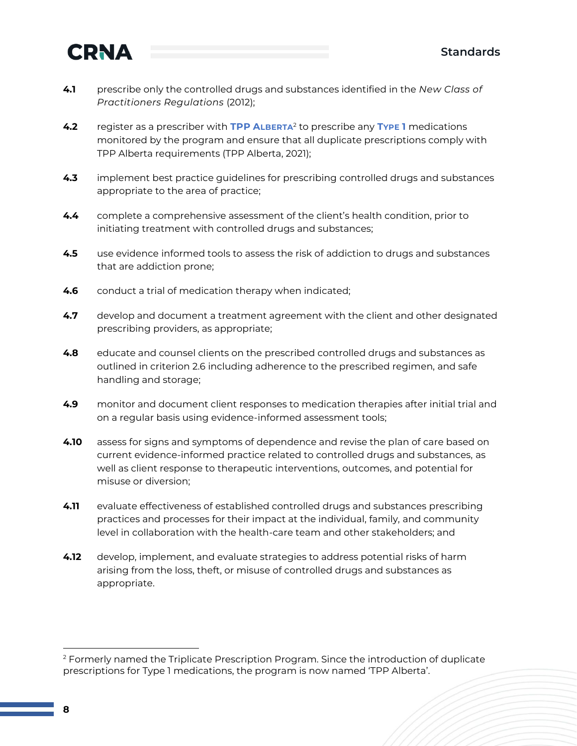

- **4.1** prescribe only the controlled drugs and substances identified in the *New Class of Practitioners Regulations* (2012);
- **4.2** register as a prescriber with **TPP ALBERTA**<sup>2</sup> to prescribe any **TYPE 1** medications monitored by the program and ensure that all duplicate prescriptions comply with TPP Alberta requirements (TPP Alberta, 2021);
- **4.3** implement best practice guidelines for prescribing controlled drugs and substances appropriate to the area of practice;
- **4.4** complete a comprehensive assessment of the client's health condition, prior to initiating treatment with controlled drugs and substances;
- **4.5** use evidence informed tools to assess the risk of addiction to drugs and substances that are addiction prone;
- **4.6** conduct a trial of medication therapy when indicated;
- **4.7** develop and document a treatment agreement with the client and other designated prescribing providers, as appropriate;
- **4.8** educate and counsel clients on the prescribed controlled drugs and substances as outlined in criterion 2.6 including adherence to the prescribed regimen, and safe handling and storage;
- **4.9** monitor and document client responses to medication therapies after initial trial and on a regular basis using evidence-informed assessment tools;
- **4.10** assess for signs and symptoms of dependence and revise the plan of care based on current evidence-informed practice related to controlled drugs and substances, as well as client response to therapeutic interventions, outcomes, and potential for misuse or diversion;
- **4.11** evaluate effectiveness of established controlled drugs and substances prescribing practices and processes for their impact at the individual, family, and community level in collaboration with the health-care team and other stakeholders; and
- **4.12** develop, implement, and evaluate strategies to address potential risks of harm arising from the loss, theft, or misuse of controlled drugs and substances as appropriate.

<sup>&</sup>lt;sup>2</sup> Formerly named the Triplicate Prescription Program. Since the introduction of duplicate prescriptions for Type 1 medications, the program is now named 'TPP Alberta'.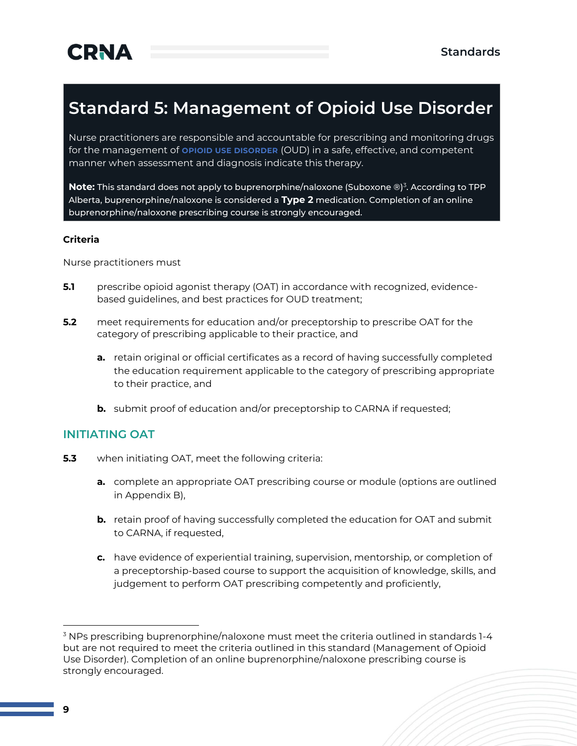### **Standard 5: Management of Opioid Use Disorder**

Nurse practitioners are responsible and accountable for prescribing and monitoring drugs for the management of **OPIOID USE DISORDER** (OUD) in a safe, effective, and competent manner when assessment and diagnosis indicate this therapy.

**Note:** This standard does not apply to buprenorphine/naloxone (Suboxone ®)<sup>3</sup>. According to TPP Alberta, buprenorphine/naloxone is considered a **Type 2** medication. Completion of an online buprenorphine/naloxone prescribing course is strongly encouraged.

#### **Criteria**

Nurse practitioners must

- **5.1** prescribe opioid agonist therapy (OAT) in accordance with recognized, evidencebased guidelines, and best practices for OUD treatment;
- **5.2** meet requirements for education and/or preceptorship to prescribe OAT for the category of prescribing applicable to their practice, and
	- **a.** retain original or official certificates as a record of having successfully completed the education requirement applicable to the category of prescribing appropriate to their practice, and
	- **b.** submit proof of education and/or preceptorship to CARNA if requested;

#### **INITIATING OAT**

- **5.3** when initiating OAT, meet the following criteria:
	- **a.** complete an appropriate OAT prescribing course or module (options are outlined in Appendix B),
	- **b.** retain proof of having successfully completed the education for OAT and submit to CARNA, if requested,
	- **c.** have evidence of experiential training, supervision, mentorship, or completion of a preceptorship-based course to support the acquisition of knowledge, skills, and judgement to perform OAT prescribing competently and proficiently,

 $3$  NPs prescribing buprenorphine/naloxone must meet the criteria outlined in standards  $1-4$ but are not required to meet the criteria outlined in this standard (Management of Opioid Use Disorder). Completion of an online buprenorphine/naloxone prescribing course is strongly encouraged.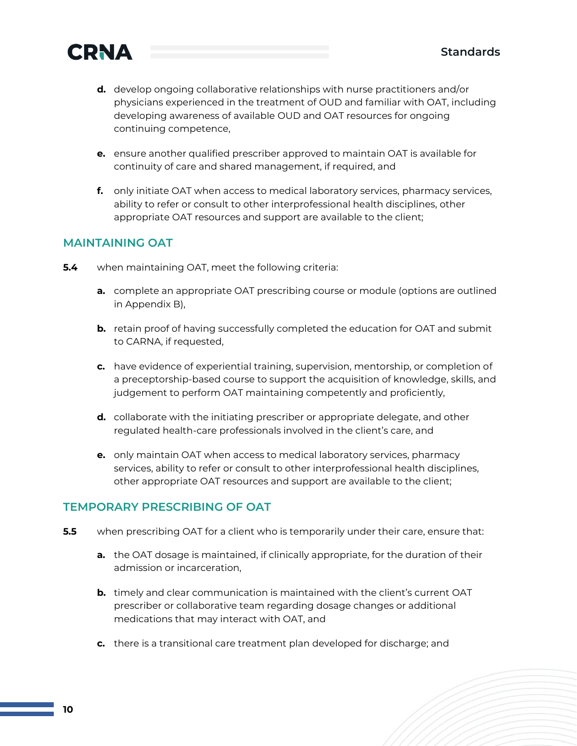

- **d.** develop ongoing collaborative relationships with nurse practitioners and/or physicians experienced in the treatment of OUD and familiar with OAT, including developing awareness of available OUD and OAT resources for ongoing continuing competence,
- **e.** ensure another qualified prescriber approved to maintain OAT is available for continuity of care and shared management, if required, and
- **f.** only initiate OAT when access to medical laboratory services, pharmacy services, ability to refer or consult to other interprofessional health disciplines, other appropriate OAT resources and support are available to the client;

#### **MAINTAINING OAT**

- **5.4** when maintaining OAT, meet the following criteria:
	- **a.** complete an appropriate OAT prescribing course or module (options are outlined in Appendix B),
	- **b.** retain proof of having successfully completed the education for OAT and submit to CARNA, if requested,
	- **c.** have evidence of experiential training, supervision, mentorship, or completion of a preceptorship-based course to support the acquisition of knowledge, skills, and judgement to perform OAT maintaining competently and proficiently,
	- **d.** collaborate with the initiating prescriber or appropriate delegate, and other regulated health-care professionals involved in the client's care, and
	- **e.** only maintain OAT when access to medical laboratory services, pharmacy services, ability to refer or consult to other interprofessional health disciplines, other appropriate OAT resources and support are available to the client;

#### **TEMPORARY PRESCRIBING OF OAT**

- **5.5** when prescribing OAT for a client who is temporarily under their care, ensure that:
	- **a.** the OAT dosage is maintained, if clinically appropriate, for the duration of their admission or incarceration,
	- **b.** timely and clear communication is maintained with the client's current OAT prescriber or collaborative team regarding dosage changes or additional medications that may interact with OAT, and
	- **c.** there is a transitional care treatment plan developed for discharge; and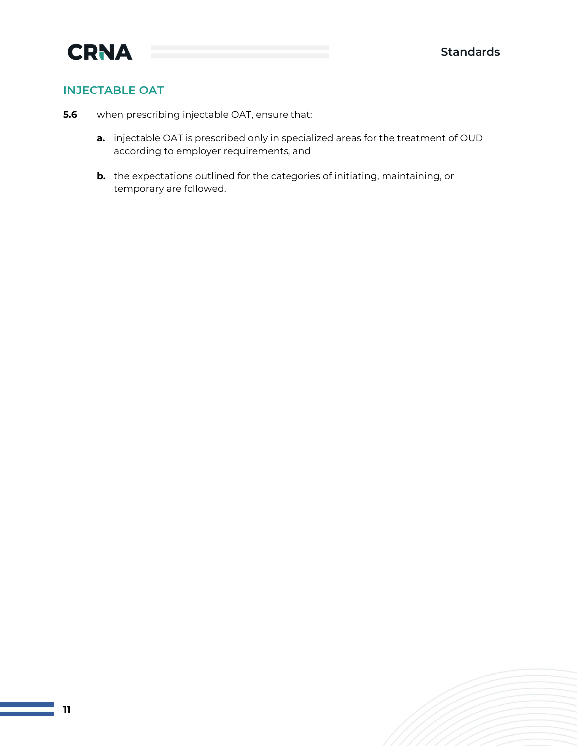#### **INJECTABLE OAT**

- **5.6** when prescribing injectable OAT, ensure that:
	- **a.** injectable OAT is prescribed only in specialized areas for the treatment of OUD according to employer requirements, and
	- **b.** the expectations outlined for the categories of initiating, maintaining, or temporary are followed.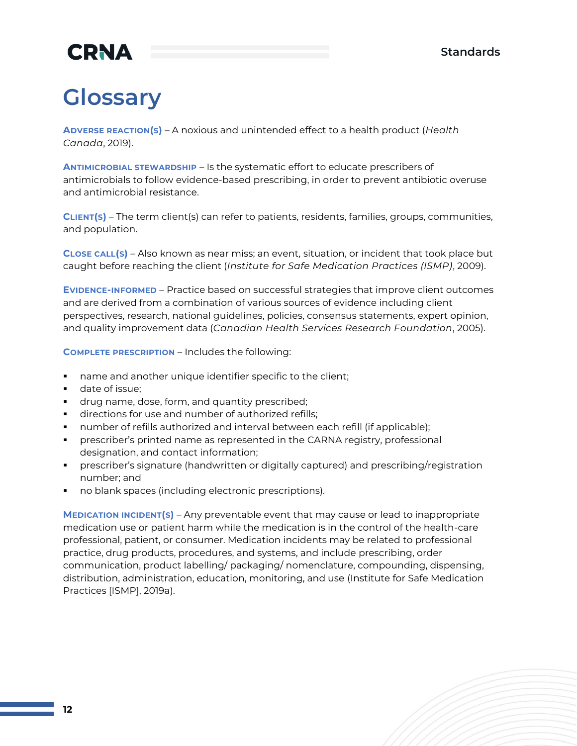## **Glossary**

**ADVERSE REACTION(S)** – A noxious and unintended effect to a health product (*Health Canada*, 2019).

**ANTIMICROBIAL STEWARDSHIP** – Is the systematic effort to educate prescribers of antimicrobials to follow evidence-based prescribing, in order to prevent antibiotic overuse and antimicrobial resistance.

**CLIENT(S)** – The term client(s) can refer to patients, residents, families, groups, communities, and population.

**CLOSE CALL(S)** – Also known as near miss; an event, situation, or incident that took place but caught before reaching the client (*Institute for Safe Medication Practices (ISMP)*, 2009).

**EVIDENCE-INFORMED** – Practice based on successful strategies that improve client outcomes and are derived from a combination of various sources of evidence including client perspectives, research, national guidelines, policies, consensus statements, expert opinion, and quality improvement data (*Canadian Health Services Research Foundation*, 2005).

**COMPLETE PRESCRIPTION** – Includes the following:

- name and another unique identifier specific to the client;
- date of issue;
- **•** drug name, dose, form, and quantity prescribed;
- directions for use and number of authorized refills;
- number of refills authorized and interval between each refill (if applicable);
- **•** prescriber's printed name as represented in the CARNA registry, professional designation, and contact information;
- prescriber's signature (handwritten or digitally captured) and prescribing/registration number; and
- no blank spaces (including electronic prescriptions).

**MEDICATION INCIDENT(S)** – Any preventable event that may cause or lead to inappropriate medication use or patient harm while the medication is in the control of the health-care professional, patient, or consumer. Medication incidents may be related to professional practice, drug products, procedures, and systems, and include prescribing, order communication, product labelling/ packaging/ nomenclature, compounding, dispensing, distribution, administration, education, monitoring, and use (Institute for Safe Medication Practices [ISMP], 2019a).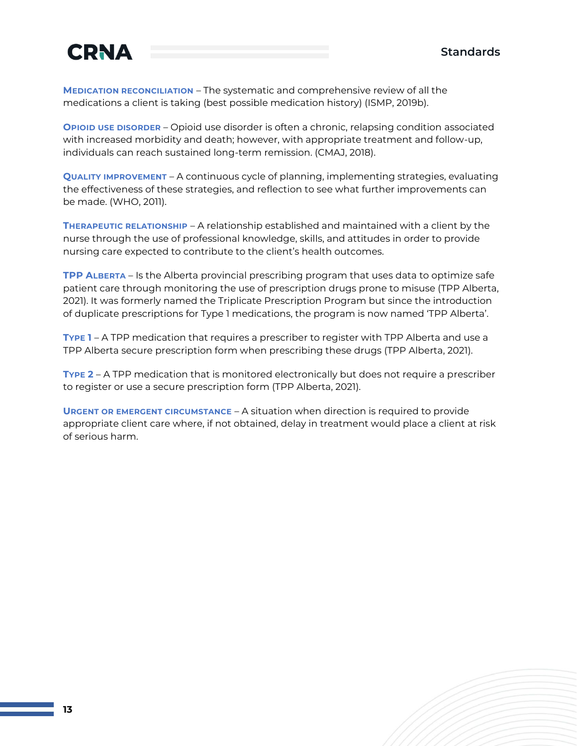

**MEDICATION RECONCILIATION** – The systematic and comprehensive review of all the medications a client is taking (best possible medication history) (ISMP, 2019b).

**OPIOID USE DISORDER** – Opioid use disorder is often a chronic, relapsing condition associated with increased morbidity and death; however, with appropriate treatment and follow-up, individuals can reach sustained long-term remission. (CMAJ, 2018).

**QUALITY IMPROVEMENT** – A continuous cycle of planning, implementing strategies, evaluating the effectiveness of these strategies, and reflection to see what further improvements can be made. (WHO, 2011).

**THERAPEUTIC RELATIONSHIP** – A relationship established and maintained with a client by the nurse through the use of professional knowledge, skills, and attitudes in order to provide nursing care expected to contribute to the client's health outcomes.

**TPP ALBERTA** – Is the Alberta provincial prescribing program that uses data to optimize safe patient care through monitoring the use of prescription drugs prone to misuse (TPP Alberta, 2021). It was formerly named the Triplicate Prescription Program but since the introduction of duplicate prescriptions for Type 1 medications, the program is now named 'TPP Alberta'.

**TYPE 1** – A TPP medication that requires a prescriber to register with TPP Alberta and use a TPP Alberta secure prescription form when prescribing these drugs (TPP Alberta, 2021).

**TYPE 2** – A TPP medication that is monitored electronically but does not require a prescriber to register or use a secure prescription form (TPP Alberta, 2021).

**URGENT OR EMERGENT CIRCUMSTANCE** – A situation when direction is required to provide appropriate client care where, if not obtained, delay in treatment would place a client at risk of serious harm.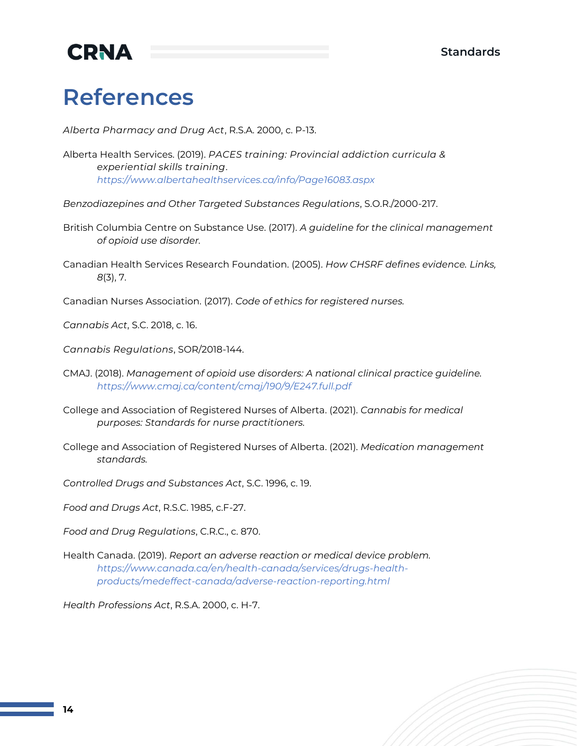## **References**

*Alberta Pharmacy and Drug Act*, R.S.A. 2000, c. P-13.

- Alberta Health Services. (2019). *PACES training: Provincial addiction curricula & experiential skills training*. *<https://www.albertahealthservices.ca/info/Page16083.aspx>*
- *Benzodiazepines and Other Targeted Substances Regulations*, S.O.R./2000-217.
- British Columbia Centre on Substance Use. (2017). *A guideline for the clinical management of opioid use disorder.*
- Canadian Health Services Research Foundation. (2005). *How CHSRF defines evidence. Links, 8*(3), 7.
- Canadian Nurses Association. (2017). *Code of ethics for registered nurses.*

*Cannabis Act*, S.C. 2018, c. 16.

*Cannabis Regulations*, SOR/2018-144.

- CMAJ. (2018). *Management of opioid use disorders: A national clinical practice guideline. <https://www.cmaj.ca/content/cmaj/190/9/E247.full.pdf>*
- College and Association of Registered Nurses of Alberta. (2021). *Cannabis for medical purposes: Standards for nurse practitioners.*
- College and Association of Registered Nurses of Alberta. (2021). *Medication management standards.*
- *Controlled Drugs and Substances Act*, S.C. 1996, c. 19.

*Food and Drugs Act*, R.S.C. 1985, c.F-27.

*Food and Drug Regulations*, C.R.C., c. 870.

Health Canada. (2019). *Report an adverse reaction or medical device problem. [https://www.canada.ca/en/health-canada/services/drugs-health](https://www.canada.ca/en/health-canada/services/drugs-health-products/medeffect-canada/adverse-reaction-reporting.html)[products/medeffect-canada/adverse-reaction-reporting.html](https://www.canada.ca/en/health-canada/services/drugs-health-products/medeffect-canada/adverse-reaction-reporting.html)*

*Health Professions Act*, R.S.A. 2000, c. H-7.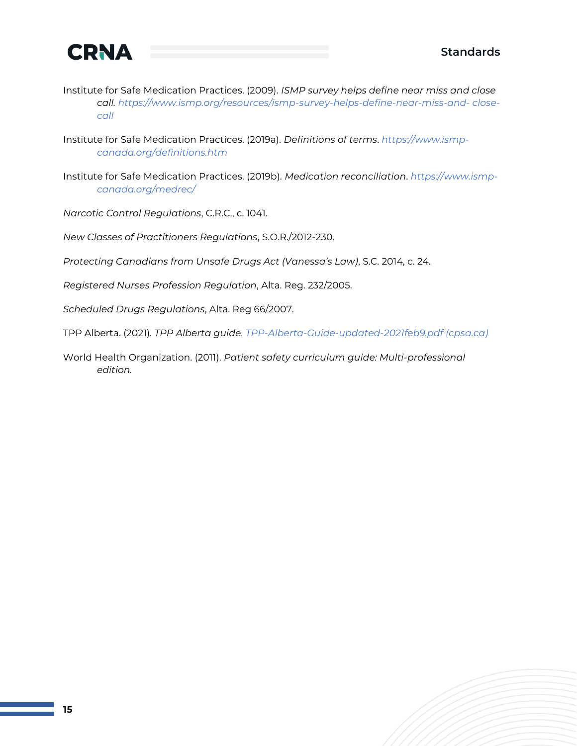

- Institute for Safe Medication Practices. (2009). *ISMP survey helps define near miss and close call. [https://www.ismp.org/resources/ismp-survey-helps-define-near-miss-and-](https://www.ismp.org/resources/ismp-survey-helps-define-near-miss-and-close-call) [close](https://www.ismp.org/resources/ismp-survey-helps-define-near-miss-and-close-call)[call](https://www.ismp.org/resources/ismp-survey-helps-define-near-miss-and-close-call)*
- Institute for Safe Medication Practices. (2019a). *Definitions of terms*. *[https://www.ismp](https://www.ismp-canada.org/definitions.htm)[canada.org/definitions.htm](https://www.ismp-canada.org/definitions.htm)*
- Institute for Safe Medication Practices. (2019b). *Medication reconciliation*. *[https://www.ismp](https://www.ismp-canada.org/medrec/)[canada.org/medrec/](https://www.ismp-canada.org/medrec/)*

*Narcotic Control Regulations*, C.R.C., c. 1041.

*New Classes of Practitioners Regulations*, S.O.R./2012-230.

- *Protecting Canadians from Unsafe Drugs Act (Vanessa's Law)*, S.C. 2014, c. 24.
- *Registered Nurses Profession Regulation*, Alta. Reg. 232/2005.
- *Scheduled Drugs Regulations*, Alta. Reg 66/2007.

TPP Alberta. (2021). *TPP Alberta guid[e. TPP-Alberta-Guide-updated-2021feb9.pdf](https://cpsa.ca/wp-content/uploads/2021/02/TPP-Alberta-Guide-updated-2021feb9.pdf) [\(cpsa.ca\)](https://cpsa.ca/wp-content/uploads/2021/02/TPP-Alberta-Guide-updated-2021feb9.pdf)*

World Health Organization. (2011). *Patient safety curriculum guide: Multi-professional edition.*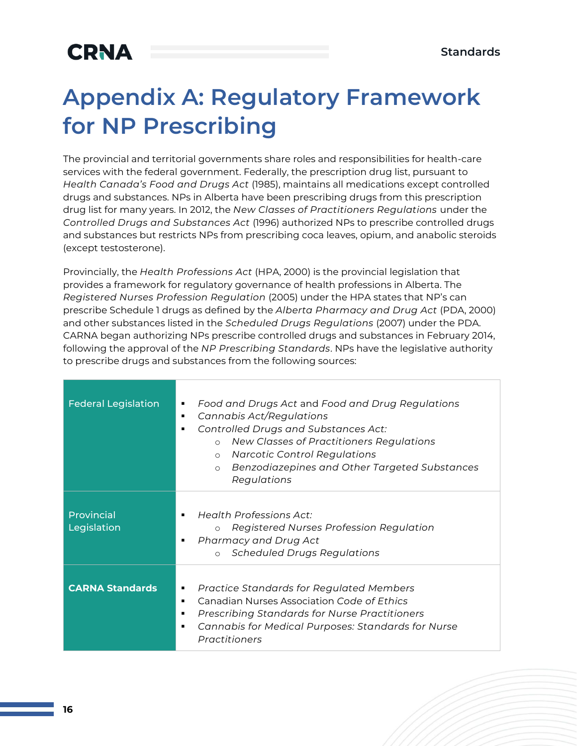## **Appendix A: Regulatory Framework for NP Prescribing**

The provincial and territorial governments share roles and responsibilities for health-care services with the federal government. Federally, the prescription drug list, pursuant to *Health Canada's Food and Drugs Act* (1985), maintains all medications except controlled drugs and substances. NPs in Alberta have been prescribing drugs from this prescription drug list for many years. In 2012, the *New Classes of Practitioners Regulations* under the *Controlled Drugs and Substances Act* (1996) authorized NPs to prescribe controlled drugs and substances but restricts NPs from prescribing coca leaves, opium, and anabolic steroids (except testosterone).

Provincially, the *Health Professions Act* (HPA, 2000) is the provincial legislation that provides a framework for regulatory governance of health professions in Alberta. The *Registered Nurses Profession Regulation* (2005) under the HPA states that NP's can prescribe Schedule 1 drugs as defined by the *Alberta Pharmacy and Drug Act* (PDA, 2000) and other substances listed in the *Scheduled Drugs Regulations* (2007) under the PDA. CARNA began authorizing NPs prescribe controlled drugs and substances in February 2014, following the approval of the *NP Prescribing Standards*. NPs have the legislative authority to prescribe drugs and substances from the following sources:

| <b>Federal Legislation</b> | Food and Drugs Act and Food and Drug Regulations<br>٠<br>Cannabis Act/Regulations<br>٠<br><b>Controlled Drugs and Substances Act:</b><br>٠<br>New Classes of Practitioners Regulations<br>$\circ$<br><b>Narcotic Control Regulations</b><br>$\circ$<br>Benzodiazepines and Other Targeted Substances<br>$\circ$<br>Regulations |
|----------------------------|--------------------------------------------------------------------------------------------------------------------------------------------------------------------------------------------------------------------------------------------------------------------------------------------------------------------------------|
| Provincial<br>Legislation  | Health Professions Act:<br>٠<br>Registered Nurses Profession Regulation<br>$\circ$<br>Pharmacy and Drug Act<br>٠<br><b>Scheduled Drugs Regulations</b><br>$\circ$                                                                                                                                                              |
| <b>CARNA Standards</b>     | Practice Standards for Regulated Members<br>٠<br>Canadian Nurses Association Code of Ethics<br>٠<br><b>Prescribing Standards for Nurse Practitioners</b><br>٠<br>Cannabis for Medical Purposes: Standards for Nurse<br>٠<br>Practitioners                                                                                      |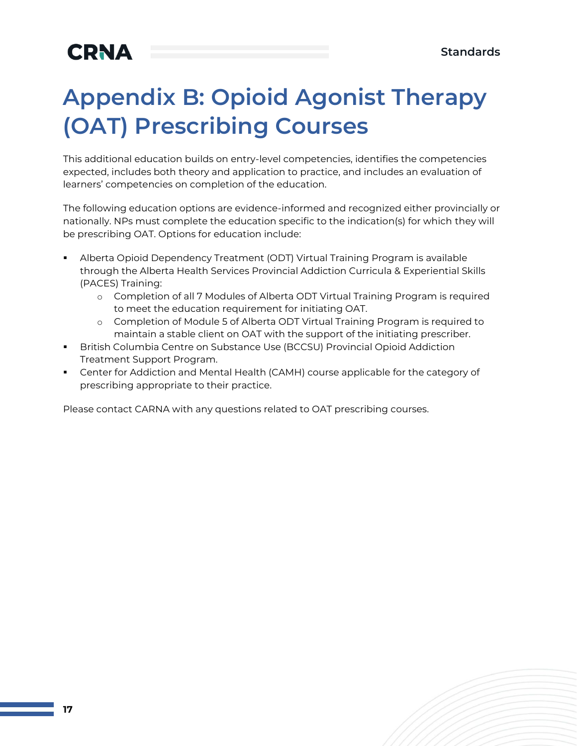## **Appendix B: Opioid Agonist Therapy (OAT) Prescribing Courses**

This additional education builds on entry-level competencies, identifies the competencies expected, includes both theory and application to practice, and includes an evaluation of learners' competencies on completion of the education.

The following education options are evidence-informed and recognized either provincially or nationally. NPs must complete the education specific to the indication(s) for which they will be prescribing OAT. Options for education include:

- Alberta Opioid Dependency Treatment (ODT) Virtual Training Program is available through the Alberta Health Services Provincial Addiction Curricula & Experiential Skills (PACES) Training:
	- o Completion of all 7 Modules of Alberta ODT Virtual Training Program is required to meet the education requirement for initiating OAT.
	- o Completion of Module 5 of Alberta ODT Virtual Training Program is required to maintain a stable client on OAT with the support of the initiating prescriber.
- British Columbia Centre on Substance Use (BCCSU) Provincial Opioid Addiction Treatment Support Program.
- **•** Center for Addiction and Mental Health (CAMH) course applicable for the category of prescribing appropriate to their practice.

Please contact CARNA with any questions related to OAT prescribing courses.